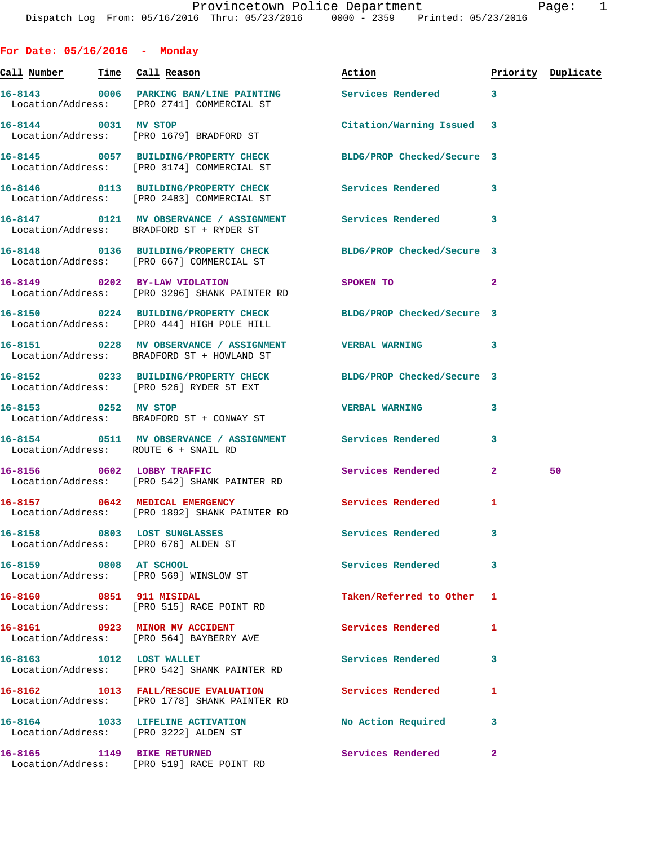**Call Number Time Call Reason Action Priority Duplicate 16-8143 0006 PARKING BAN/LINE PAINTING Services Rendered 3**  Location/Address: [PRO 2741] COMMERCIAL ST **16-8144 0031 MV STOP Citation/Warning Issued 3**  Location/Address: [PRO 1679] BRADFORD ST **16-8145 0057 BUILDING/PROPERTY CHECK BLDG/PROP Checked/Secure 3**  Location/Address: [PRO 3174] COMMERCIAL ST **16-8146 0113 BUILDING/PROPERTY CHECK Services Rendered 3**  Location/Address: [PRO 2483] COMMERCIAL ST **16-8147 0121 MV OBSERVANCE / ASSIGNMENT Services Rendered 3**  Location/Address: BRADFORD ST + RYDER ST **16-8148 0136 BUILDING/PROPERTY CHECK BLDG/PROP Checked/Secure 3**  Location/Address: [PRO 667] COMMERCIAL ST **16-8149 0202 BY-LAW VIOLATION SPOKEN TO 2**  Location/Address: [PRO 3296] SHANK PAINTER RD **16-8150 0224 BUILDING/PROPERTY CHECK BLDG/PROP Checked/Secure 3**  Location/Address: [PRO 444] HIGH POLE HILL **16-8151 0228 MV OBSERVANCE / ASSIGNMENT VERBAL WARNING 3**  Location/Address: BRADFORD ST + HOWLAND ST **16-8152 0233 BUILDING/PROPERTY CHECK BLDG/PROP Checked/Secure 3**  Location/Address: [PRO 526] RYDER ST EXT **16-8153 0252 MV STOP VERBAL WARNING 3**  Location/Address: BRADFORD ST + CONWAY ST **16-8154 0511 MV OBSERVANCE / ASSIGNMENT Services Rendered 3**  Location/Address: ROUTE 6 + SNAIL RD **16-8156 0602 LOBBY TRAFFIC Services Rendered 2 50**  Location/Address: [PRO 542] SHANK PAINTER RD 16-8157 0642 MEDICAL EMERGENCY Services Rendered 1 Location/Address: [PRO 1892] SHANK PAINTER RD **16-8158 0803 LOST SUNGLASSES Services Rendered 3**  Location/Address: [PRO 676] ALDEN ST **16-8159 0808 AT SCHOOL Services Rendered 3**  Location/Address: [PRO 569] WINSLOW ST **16-8160 0851 911 MISIDAL Taken/Referred to Other 1**  Location/Address: [PRO 515] RACE POINT RD **16-8161 0923 MINOR MV ACCIDENT Services Rendered 1**  Location/Address: [PRO 564] BAYBERRY AVE **16-8163 1012 LOST WALLET Services Rendered 3**  Location/Address: [PRO 542] SHANK PAINTER RD **16-8162 1013 FALL/RESCUE EVALUATION Services Rendered 1**  Location/Address: [PRO 1778] SHANK PAINTER RD **16-8164 1033 LIFELINE ACTIVATION No Action Required 3**  Location/Address: [PRO 3222] ALDEN ST **16-8165 1149 BIKE RETURNED Services Rendered 2** 

Location/Address: [PRO 519] RACE POINT RD

**For Date: 05/16/2016 - Monday**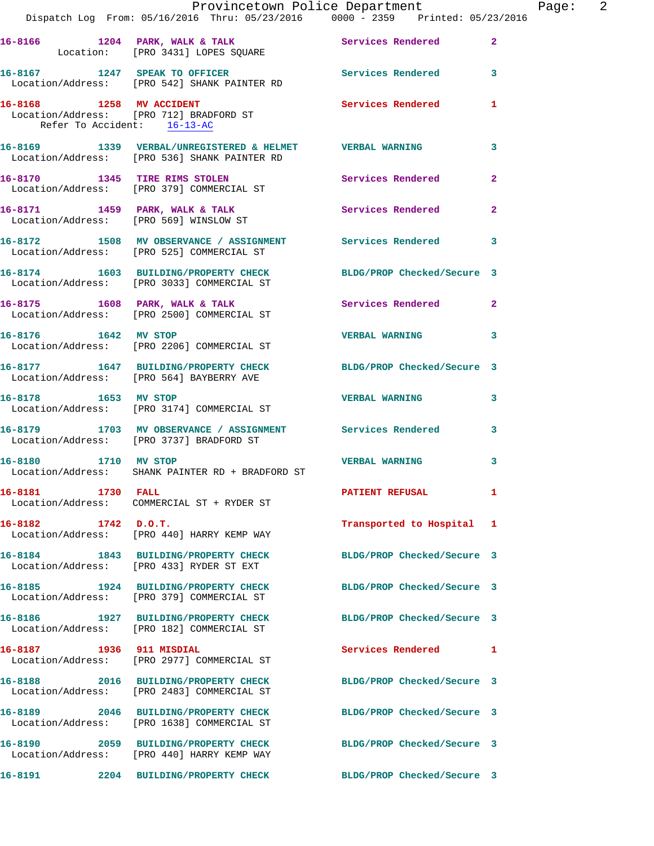|                             | Provincetown Police Department<br>Dispatch Log From: 05/16/2016 Thru: 05/23/2016 0000 - 2359 Printed: 05/23/2016 |                            |                |
|-----------------------------|------------------------------------------------------------------------------------------------------------------|----------------------------|----------------|
|                             | 16-8166 1204 PARK, WALK & TALK Services Rendered<br>Location: [PRO 3431] LOPES SQUARE                            |                            | $\overline{2}$ |
|                             | 16-8167 1247 SPEAK TO OFFICER<br>Location/Address: [PRO 542] SHANK PAINTER RD                                    | Services Rendered          | 3              |
| Refer To Accident: 16-13-AC | 16-8168 1258 MV ACCIDENT<br>Location/Address: [PRO 712] BRADFORD ST                                              | Services Rendered          | 1              |
|                             | 16-8169 1339 VERBAL/UNREGISTERED & HELMET VERBAL WARNING<br>Location/Address: [PRO 536] SHANK PAINTER RD         |                            | 3              |
|                             | 16-8170 1345 TIRE RIMS STOLEN<br>Location/Address: [PRO 379] COMMERCIAL ST                                       | Services Rendered          | $\overline{2}$ |
|                             | 16-8171 1459 PARK, WALK & TALK Services Rendered Location/Address: [PRO 569] WINSLOW ST                          |                            | $\overline{2}$ |
|                             | 16-8172 1508 MV OBSERVANCE / ASSIGNMENT Services Rendered<br>Location/Address: [PRO 525] COMMERCIAL ST           |                            | 3              |
|                             | 16-8174 1603 BUILDING/PROPERTY CHECK BLDG/PROP Checked/Secure 3<br>Location/Address: [PRO 3033] COMMERCIAL ST    |                            |                |
|                             | 16-8175 1608 PARK, WALK & TALK<br>Location/Address: [PRO 2500] COMMERCIAL ST                                     | Services Rendered          | $\mathbf{2}$   |
|                             | 16-8176 1642 MV STOP<br>Location/Address: [PRO 2206] COMMERCIAL ST                                               | <b>VERBAL WARNING</b>      | 3              |
|                             | 16-8177 1647 BUILDING/PROPERTY CHECK BLDG/PROP Checked/Secure 3<br>Location/Address: [PRO 564] BAYBERRY AVE      |                            |                |
|                             | 16-8178 1653 MV STOP<br>Location/Address: [PRO 3174] COMMERCIAL ST                                               | <b>VERBAL WARNING</b>      | 3              |
|                             | 16-8179 1703 MV OBSERVANCE / ASSIGNMENT Services Rendered<br>Location/Address: [PRO 3737] BRADFORD ST            |                            | 3              |
|                             | 16-8180 1710 MV STOP<br>Location/Address: SHANK PAINTER RD + BRADFORD ST                                         | <b>VERBAL WARNING</b>      | 3              |
| 16-8181 1730 FALL           | Location/Address: COMMERCIAL ST + RYDER ST                                                                       | <b>PATIENT REFUSAL</b>     | 1              |
| 16-8182 1742 D.O.T.         | Location/Address: [PRO 440] HARRY KEMP WAY                                                                       | Transported to Hospital 1  |                |
|                             | 16-8184 1843 BUILDING/PROPERTY CHECK<br>Location/Address: [PRO 433] RYDER ST EXT                                 | BLDG/PROP Checked/Secure 3 |                |
|                             | 16-8185 1924 BUILDING/PROPERTY CHECK<br>Location/Address: [PRO 379] COMMERCIAL ST                                | BLDG/PROP Checked/Secure 3 |                |
|                             | 16-8186 1927 BUILDING/PROPERTY CHECK<br>Location/Address: [PRO 182] COMMERCIAL ST                                | BLDG/PROP Checked/Secure 3 |                |
|                             | 16-8187 1936 911 MISDIAL<br>Location/Address: [PRO 2977] COMMERCIAL ST                                           | Services Rendered          | 1              |
|                             | 16-8188 2016 BUILDING/PROPERTY CHECK<br>Location/Address: [PRO 2483] COMMERCIAL ST                               | BLDG/PROP Checked/Secure 3 |                |
|                             | 16-8189 2046 BUILDING/PROPERTY CHECK<br>Location/Address: [PRO 1638] COMMERCIAL ST                               | BLDG/PROP Checked/Secure 3 |                |
| 16-8190                     | 2059 BUILDING/PROPERTY CHECK<br>Location/Address: [PRO 440] HARRY KEMP WAY                                       | BLDG/PROP Checked/Secure 3 |                |
| 16-8191<br>2204             | BUILDING/PROPERTY CHECK                                                                                          | BLDG/PROP Checked/Secure 3 |                |

Page: 2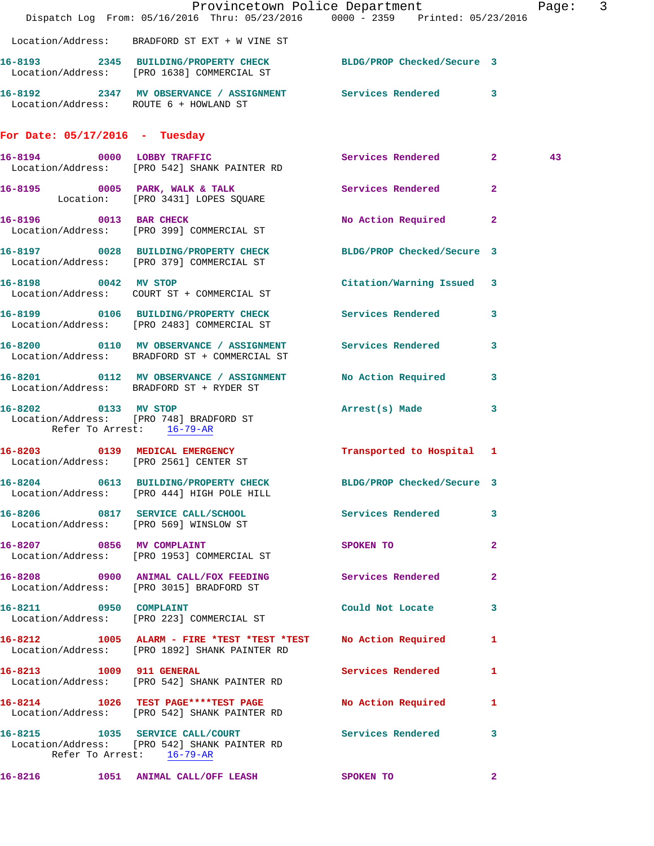|                                  | Dispatch Log From: 05/16/2016 Thru: 05/23/2016 0000 - 2359 Printed: 05/23/2016                                                   | Provincetown Police Department                |                         | Page: 3 |  |
|----------------------------------|----------------------------------------------------------------------------------------------------------------------------------|-----------------------------------------------|-------------------------|---------|--|
|                                  | Location/Address: BRADFORD ST EXT + W VINE ST                                                                                    |                                               |                         |         |  |
|                                  | 16-8193 2345 BUILDING/PROPERTY CHECK BLDG/PROP Checked/Secure 3<br>Location/Address: [PRO 1638] COMMERCIAL ST                    |                                               |                         |         |  |
|                                  | 16-8192 2347 MV OBSERVANCE / ASSIGNMENT Services Rendered 3<br>Location/Address: ROUTE 6 + HOWLAND ST                            |                                               |                         |         |  |
| For Date: $05/17/2016$ - Tuesday |                                                                                                                                  |                                               |                         |         |  |
|                                  | 16-8194 0000 LOBBY TRAFFIC<br>Location/Address: [PRO 542] SHANK PAINTER RD                                                       | Services Rendered 2                           |                         | 43      |  |
|                                  | 16-8195 0005 PARK, WALK & TALK 3 Services Rendered 2<br>Location: [PRO 3431] LOPES SQUARE                                        |                                               |                         |         |  |
|                                  | 16-8196 0013 BAR CHECK<br>Location/Address: [PRO 399] COMMERCIAL ST                                                              | No Action Required 2                          |                         |         |  |
|                                  | 16-8197 0028 BUILDING/PROPERTY CHECK BLDG/PROP Checked/Secure 3<br>Location/Address: [PRO 379] COMMERCIAL ST                     |                                               |                         |         |  |
|                                  | 16-8198 0042 MV STOP<br>Location/Address: COURT ST + COMMERCIAL ST                                                               | Citation/Warning Issued 3                     |                         |         |  |
|                                  | 16-8199 0106 BUILDING/PROPERTY CHECK Services Rendered 3<br>Location/Address: [PRO 2483] COMMERCIAL ST                           |                                               |                         |         |  |
|                                  | 16-8200 0110 MV OBSERVANCE / ASSIGNMENT Services Rendered 3<br>Location/Address: BRADFORD ST + COMMERCIAL ST                     |                                               |                         |         |  |
|                                  | 16-8201 0112 MV OBSERVANCE / ASSIGNMENT No Action Required<br>Location/Address: BRADFORD ST + RYDER ST                           |                                               | $\overline{\mathbf{3}}$ |         |  |
| 16-8202 0133 MV STOP             | Location/Address: [PRO 748] BRADFORD ST<br>Refer To Arrest: 16-79-AR                                                             | Arrest(s) Made 3                              |                         |         |  |
|                                  | 16-8203 0139 MEDICAL EMERGENCY<br>Location/Address: [PRO 2561] CENTER ST                                                         | Transported to Hospital 1                     |                         |         |  |
|                                  | 16-8204 0613 BUILDING/PROPERTY CHECK<br>Location/Address: [PRO 444] HIGH POLE HILL                                               | BLDG/PROP Checked/Secure 3                    |                         |         |  |
|                                  | 16-8206 0817 SERVICE CALL/SCHOOL Services Rendered 3<br>Location/Address: [PRO 569] WINSLOW ST                                   |                                               |                         |         |  |
|                                  | 16-8207 0856 MV COMPLAINT<br>Location/Address: [PRO 1953] COMMERCIAL ST                                                          | SPOKEN TO                                     | $\mathbf{2}$            |         |  |
|                                  | 16-8208 0900 ANIMAL CALL/FOX FEEDING Services Rendered<br>Location/Address: [PRO 3015] BRADFORD ST                               |                                               | $\mathbf{2}$            |         |  |
| 16-8211 0950 COMPLAINT           | Location/Address: [PRO 223] COMMERCIAL ST                                                                                        | Could Not Locate 3                            |                         |         |  |
|                                  | 16-8212 1005 ALARM - FIRE *TEST *TEST *TEST No Action Required 1<br>Location/Address: [PRO 1892] SHANK PAINTER RD                |                                               |                         |         |  |
| 16-8213 1009 911 GENERAL         | Location/Address: [PRO 542] SHANK PAINTER RD                                                                                     | Services Rendered 1                           |                         |         |  |
|                                  | 16-8214 1026 TEST PAGE****TEST PAGE<br>Location/Address: [PRO 542] SHANK PAINTER RD                                              | <b>No Action Required</b>                     | 1                       |         |  |
|                                  | 16-8215 1035 SERVICE CALL/COURT Services Rendered 3<br>Location/Address: [PRO 542] SHANK PAINTER RD<br>Refer To Arrest: 16-79-AR |                                               |                         |         |  |
|                                  | 16-8216 1051 ANIMAL CALL/OFF LEASH SPOKEN TO                                                                                     | $\sim$ 2.000 $\sim$ 2.000 $\sim$ 2.000 $\sim$ |                         |         |  |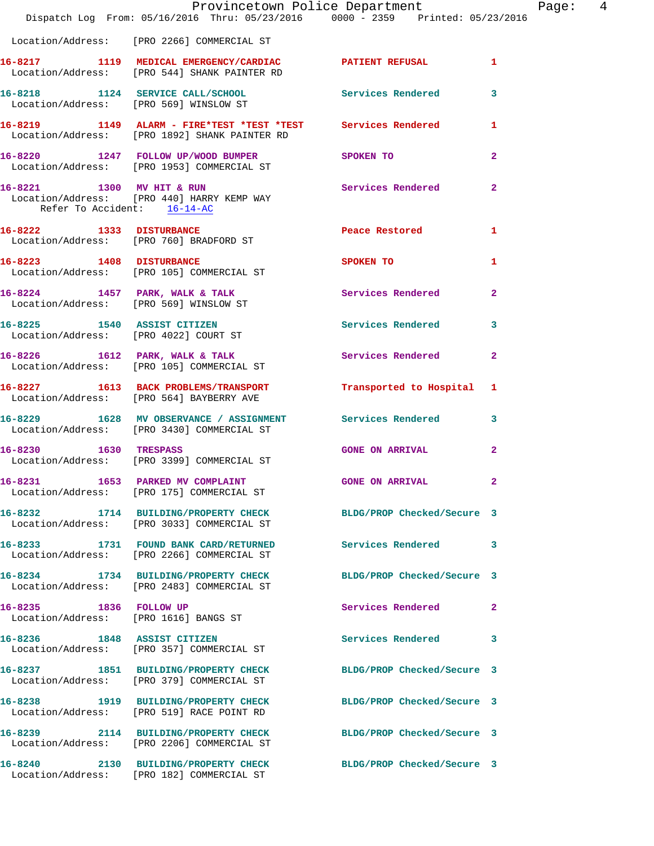|                                                                      | Provincetown Police Department<br>Dispatch Log From: 05/16/2016 Thru: 05/23/2016 0000 - 2359 Printed: 05/23/2016 |                            |                |
|----------------------------------------------------------------------|------------------------------------------------------------------------------------------------------------------|----------------------------|----------------|
|                                                                      | Location/Address: [PRO 2266] COMMERCIAL ST                                                                       |                            |                |
|                                                                      | 16-8217 1119 MEDICAL EMERGENCY/CARDIAC PATIENT REFUSAL<br>Location/Address: [PRO 544] SHANK PAINTER RD           |                            | $\mathbf{1}$   |
|                                                                      | 16-8218 1124 SERVICE CALL/SCHOOL 5ervices Rendered<br>Location/Address: [PRO 569] WINSLOW ST                     |                            | 3              |
|                                                                      | 16-8219 1149 ALARM - FIRE*TEST *TEST *TEST Services Rendered<br>Location/Address: [PRO 1892] SHANK PAINTER RD    |                            | 1              |
|                                                                      | 16-8220 1247 FOLLOW UP/WOOD BUMPER<br>Location/Address: [PRO 1953] COMMERCIAL ST                                 | SPOKEN TO                  | $\mathbf{2}$   |
| 16-8221 1300 MV HIT & RUN<br>Refer To Accident: 16-14-AC             | Location/Address: [PRO 440] HARRY KEMP WAY                                                                       | Services Rendered          | $\overline{a}$ |
|                                                                      | 16-8222 1333 DISTURBANCE<br>Location/Address: [PRO 760] BRADFORD ST                                              | Peace Restored             | 1              |
|                                                                      | 16-8223 1408 DISTURBANCE<br>Location/Address: [PRO 105] COMMERCIAL ST                                            | <b>SPOKEN TO</b>           | 1              |
|                                                                      | $16-8224$ 1457 PARK, WALK & TALK<br>Location/Address: [PRO 569] WINSLOW ST                                       | Services Rendered          | $\overline{a}$ |
| 16-8225 1540 ASSIST CITIZEN<br>Location/Address: [PRO 4022] COURT ST |                                                                                                                  | <b>Services Rendered</b>   | 3              |
|                                                                      | 16-8226 1612 PARK, WALK & TALK<br>Location/Address: [PRO 105] COMMERCIAL ST                                      | Services Rendered          | $\overline{a}$ |
|                                                                      | 16-8227 1613 BACK PROBLEMS/TRANSPORT<br>Location/Address: [PRO 564] BAYBERRY AVE                                 | Transported to Hospital    | 1              |
|                                                                      | 16-8229 1628 MV OBSERVANCE / ASSIGNMENT Services Rendered<br>Location/Address: [PRO 3430] COMMERCIAL ST          |                            | 3              |
| 16-8230 1630 TRESPASS                                                | Location/Address: [PRO 3399] COMMERCIAL ST                                                                       | <b>GONE ON ARRIVAL</b>     | $\mathbf{2}$   |
|                                                                      | 16-8231 1653 PARKED MV COMPLAINT<br>Location/Address: [PRO 175] COMMERCIAL ST                                    | GONE ON ARRIVAL            |                |
|                                                                      | 16-8232 1714 BUILDING/PROPERTY CHECK<br>Location/Address: [PRO 3033] COMMERCIAL ST                               | BLDG/PROP Checked/Secure 3 |                |
|                                                                      | 16-8233 1731 FOUND BANK CARD/RETURNED<br>Location/Address: [PRO 2266] COMMERCIAL ST                              | Services Rendered          | 3              |
|                                                                      | 16-8234 1734 BUILDING/PROPERTY CHECK<br>Location/Address: [PRO 2483] COMMERCIAL ST                               | BLDG/PROP Checked/Secure 3 |                |
| 16-8235 1836 FOLLOW UP                                               | Location/Address: [PRO 1616] BANGS ST                                                                            | Services Rendered          | $\mathbf{2}$   |
|                                                                      | 16-8236 1848 ASSIST CITIZEN<br>Location/Address: [PRO 357] COMMERCIAL ST                                         | Services Rendered          | 3              |
|                                                                      | 16-8237 1851 BUILDING/PROPERTY CHECK<br>Location/Address: [PRO 379] COMMERCIAL ST                                | BLDG/PROP Checked/Secure 3 |                |
|                                                                      | 16-8238 1919 BUILDING/PROPERTY CHECK<br>Location/Address: [PRO 519] RACE POINT RD                                | BLDG/PROP Checked/Secure 3 |                |
|                                                                      | 16-8239 2114 BUILDING/PROPERTY CHECK<br>Location/Address: [PRO 2206] COMMERCIAL ST                               | BLDG/PROP Checked/Secure 3 |                |
|                                                                      | 16-8240 2130 BUILDING/PROPERTY CHECK<br>Location/Address: [PRO 182] COMMERCIAL ST                                | BLDG/PROP Checked/Secure 3 |                |

Page: 4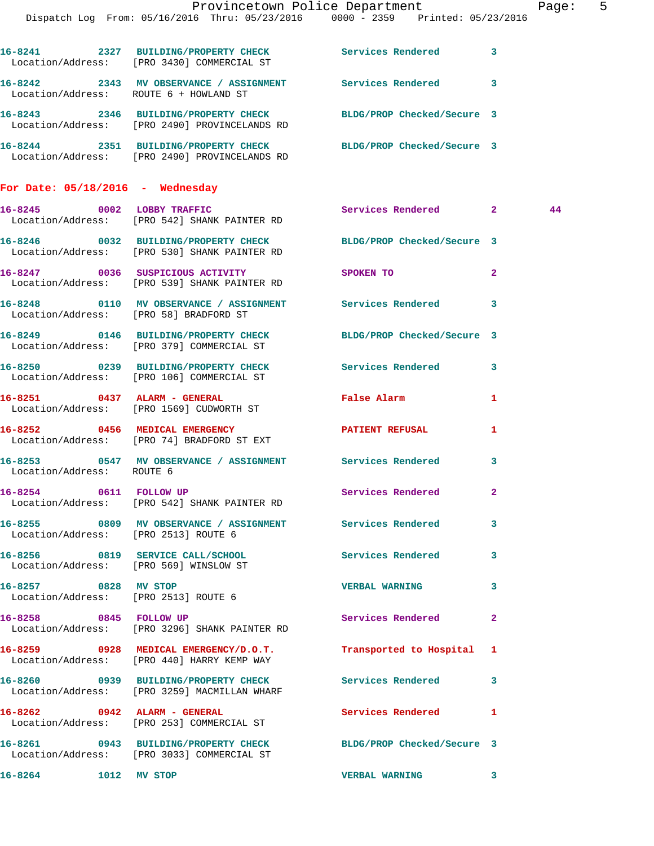|                                      |                                                                                                                  | Provincetown Police Department                                                                                 | Page: 5      |
|--------------------------------------|------------------------------------------------------------------------------------------------------------------|----------------------------------------------------------------------------------------------------------------|--------------|
|                                      | Dispatch Log From: 05/16/2016 Thru: 05/23/2016 0000 - 2359 Printed: 05/23/2016                                   |                                                                                                                |              |
|                                      | 16-8241 2327 BUILDING/PROPERTY CHECK Services Rendered 3<br>Location/Address: [PRO 3430] COMMERCIAL ST           |                                                                                                                |              |
|                                      | 16-8242 2343 MV OBSERVANCE / ASSIGNMENT Services Rendered 3<br>Location/Address: ROUTE 6 + HOWLAND ST            |                                                                                                                |              |
|                                      | 16-8243 2346 BUILDING/PROPERTY CHECK BLDG/PROP Checked/Secure 3<br>Location/Address: [PRO 2490] PROVINCELANDS RD |                                                                                                                |              |
|                                      | 16-8244 2351 BUILDING/PROPERTY CHECK BLDG/PROP Checked/Secure 3<br>Location/Address: [PRO 2490] PROVINCELANDS RD |                                                                                                                |              |
| For Date: $05/18/2016$ - Wednesday   |                                                                                                                  |                                                                                                                |              |
|                                      | 16-8245 0002 LOBBY TRAFFIC<br>Location/Address: [PRO 542] SHANK PAINTER RD                                       | Services Rendered 2                                                                                            | 44           |
|                                      | 16-8246 0032 BUILDING/PROPERTY CHECK BLDG/PROP Checked/Secure 3<br>Location/Address: [PRO 530] SHANK PAINTER RD  |                                                                                                                |              |
|                                      | 16-8247 0036 SUSPICIOUS ACTIVITY<br>Location/Address: [PRO 539] SHANK PAINTER RD                                 | SPOKEN TO THE SPOKEN OF THE SPOKEN OF THE SPOKEN OF THE SPOKEN OF THE SPOKEN OF THE SPOKEN OF THE SPOKEN OF TH | $\mathbf{2}$ |
|                                      | 16-8248 0110 MV OBSERVANCE / ASSIGNMENT Services Rendered 3<br>Location/Address: [PRO 58] BRADFORD ST            |                                                                                                                |              |
|                                      | 16-8249 0146 BUILDING/PROPERTY CHECK BLDG/PROP Checked/Secure 3<br>Location/Address: [PRO 379] COMMERCIAL ST     |                                                                                                                |              |
|                                      | 16-8250 0239 BUILDING/PROPERTY CHECK Services Rendered 3<br>Location/Address: [PRO 106] COMMERCIAL ST            |                                                                                                                |              |
|                                      | 16-8251 0437 ALARM - GENERAL<br>Location/Address: [PRO 1569] CUDWORTH ST                                         | False Alarm                                                                                                    | 1            |
|                                      | 16-8252 0456 MEDICAL EMERGENCY<br>Location/Address: [PRO 74] BRADFORD ST EXT                                     | PATIENT REFUSAL                                                                                                | 1            |
| Location/Address: ROUTE 6            | 16-8253 0547 MV OBSERVANCE / ASSIGNMENT Services Rendered 3                                                      |                                                                                                                |              |
| 16-8254 0611 FOLLOW UP               | Location/Address: [PRO 542] SHANK PAINTER RD                                                                     | <b>Services Rendered</b> 2                                                                                     |              |
| Location/Address: [PRO 2513] ROUTE 6 | 16-8255 0809 MV OBSERVANCE / ASSIGNMENT Services Rendered 3                                                      |                                                                                                                |              |
|                                      | 16-8256 0819 SERVICE CALL/SCHOOL 5 Services Rendered 3<br>Location/Address: [PRO 569] WINSLOW ST                 |                                                                                                                |              |
| 16-8257 0828 MV STOP                 | Location/Address: [PRO 2513] ROUTE 6                                                                             | VERBAL WARNING 3                                                                                               |              |
| 16-8258 0845 FOLLOW UP               | Location/Address: [PRO 3296] SHANK PAINTER RD                                                                    | Services Rendered 2                                                                                            |              |
|                                      | 16-8259 0928 MEDICAL EMERGENCY/D.O.T. Transported to Hospital 1<br>Location/Address: [PRO 440] HARRY KEMP WAY    |                                                                                                                |              |
|                                      | 16-8260 0939 BUILDING/PROPERTY CHECK Services Rendered 3<br>Location/Address: [PRO 3259] MACMILLAN WHARF         |                                                                                                                |              |
|                                      | 16-8262 0942 ALARM - GENERAL<br>Location/Address: [PRO 253] COMMERCIAL ST                                        | Services Rendered 1                                                                                            |              |
|                                      | 16-8261 0943 BUILDING/PROPERTY CHECK BLDG/PROP Checked/Secure 3<br>Location/Address: [PRO 3033] COMMERCIAL ST    |                                                                                                                |              |
| 16-8264 1012 MV STOP                 |                                                                                                                  | VERBAL WARNING 3                                                                                               |              |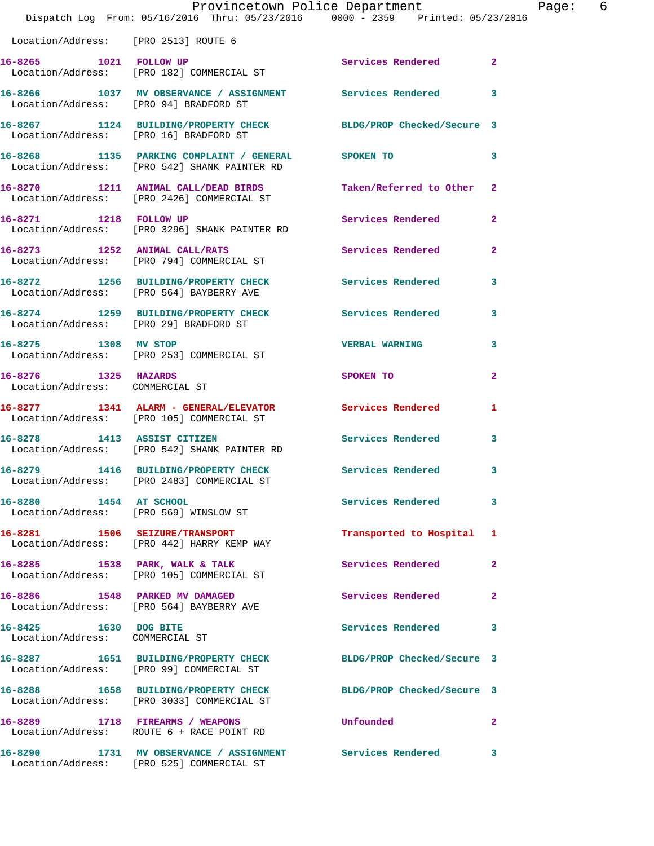|                                                         | Dispatch Log From: 05/16/2016 Thru: 05/23/2016 0000 - 2359 Printed: 05/23/2016                                | Provincetown Police Department | Page:          | -6 |
|---------------------------------------------------------|---------------------------------------------------------------------------------------------------------------|--------------------------------|----------------|----|
| Location/Address: [PRO 2513] ROUTE 6                    |                                                                                                               |                                |                |    |
|                                                         | 16-8265 1021 FOLLOW UP<br>Location/Address: [PRO 182] COMMERCIAL ST                                           | Services Rendered 2            |                |    |
| Location/Address: [PRO 94] BRADFORD ST                  | 16-8266 1037 MV OBSERVANCE / ASSIGNMENT Services Rendered 3                                                   |                                |                |    |
|                                                         | 16-8267 1124 BUILDING/PROPERTY CHECK BLDG/PROP Checked/Secure 3<br>Location/Address: [PRO 16] BRADFORD ST     |                                |                |    |
|                                                         | 16-8268 1135 PARKING COMPLAINT / GENERAL SPOKEN TO<br>  Location/Address: [PRO 542] SHANK PAINTER RD          |                                | $\mathbf{3}$   |    |
|                                                         | 16-8270 1211 ANIMAL CALL/DEAD BIRDS<br>Location/Address: [PRO 2426] COMMERCIAL ST                             | Taken/Referred to Other 2      |                |    |
|                                                         | 16-8271 1218 FOLLOW UP<br>Location/Address: [PRO 3296] SHANK PAINTER RD                                       | Services Rendered              | $\mathbf{2}$   |    |
|                                                         | 16-8273 1252 ANIMAL CALL/RATS<br>Location/Address: [PRO 794] COMMERCIAL ST                                    | Services Rendered              | $\overline{2}$ |    |
|                                                         | 16-8272 1256 BUILDING/PROPERTY CHECK Services Rendered 3<br>Location/Address: [PRO 564] BAYBERRY AVE          |                                |                |    |
|                                                         | 16-8274 1259 BUILDING/PROPERTY CHECK Services Rendered 3<br>Location/Address: [PRO 29] BRADFORD ST            |                                |                |    |
|                                                         | 16-8275 1308 MV STOP<br>Location/Address: [PRO 253] COMMERCIAL ST                                             | <b>VERBAL WARNING</b>          | 3              |    |
| 16-8276 1325 HAZARDS<br>Location/Address: COMMERCIAL ST |                                                                                                               | SPOKEN TO AND THE SPOKEN TO    | $\mathbf{2}$   |    |
|                                                         | 16-8277 1341 ALARM - GENERAL/ELEVATOR Services Rendered<br>Location/Address: [PRO 105] COMMERCIAL ST          |                                | $\mathbf{1}$   |    |
| 16-8278 1413 ASSIST CITIZEN                             | Location/Address: [PRO 542] SHANK PAINTER RD                                                                  | Services Rendered 3            |                |    |
|                                                         | 16-8279 1416 BUILDING/PROPERTY CHECK<br>Location/Address: [PRO 2483] COMMERCIAL ST                            | <b>Services Rendered</b>       | 3              |    |
| 16-8280 1454 AT SCHOOL                                  | Location/Address: [PRO 569] WINSLOW ST                                                                        | Services Rendered              | $\mathbf{3}$   |    |
|                                                         | 16-8281 1506 SEIZURE/TRANSPORT<br>Location/Address: [PRO 442] HARRY KEMP WAY                                  | Transported to Hospital 1      |                |    |
|                                                         | 16-8285 1538 PARK, WALK & TALK<br>Location/Address: [PRO 105] COMMERCIAL ST                                   | Services Rendered              | $\mathbf{2}$   |    |
|                                                         | 16-8286 1548 PARKED MV DAMAGED<br>Location/Address: [PRO 564] BAYBERRY AVE                                    | Services Rendered              | $\mathbf{2}$   |    |
| 16-8425 1630 DOG BITE                                   | Location/Address: COMMERCIAL ST                                                                               | Services Rendered 3            |                |    |
|                                                         | 16-8287 1651 BUILDING/PROPERTY CHECK BLDG/PROP Checked/Secure 3<br>Location/Address: [PRO 99] COMMERCIAL ST   |                                |                |    |
|                                                         | 16-8288 1658 BUILDING/PROPERTY CHECK BLDG/PROP Checked/Secure 3<br>Location/Address: [PRO 3033] COMMERCIAL ST |                                |                |    |
|                                                         | 16-8289 1718 FIREARMS / WEAPONS<br>Location/Address: ROUTE 6 + RACE POINT RD                                  | <b>Unfounded</b>               | $\mathbf{2}$   |    |
|                                                         | 16-8290 1731 MV OBSERVANCE / ASSIGNMENT Services Rendered 3<br>Location/Address: [PRO 525] COMMERCIAL ST      |                                |                |    |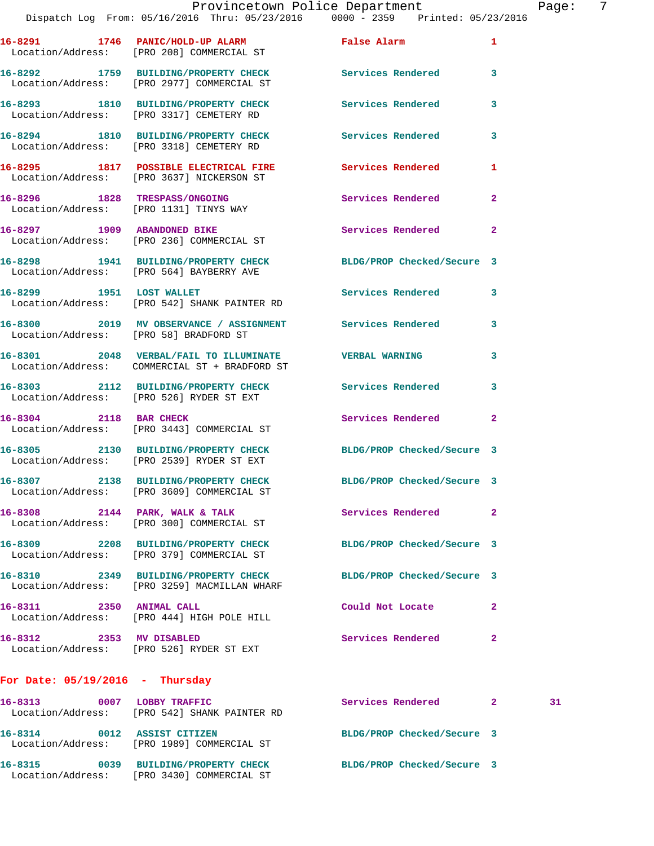**16-8291 1746 PANIC/HOLD-UP ALARM False Alarm 1**  Location/Address: [PRO 208] COMMERCIAL ST **16-8292 1759 BUILDING/PROPERTY CHECK Services Rendered 3**  Location/Address: [PRO 2977] COMMERCIAL ST **16-8293 1810 BUILDING/PROPERTY CHECK Services Rendered 3**  Location/Address: [PRO 3317] CEMETERY RD **16-8294 1810 BUILDING/PROPERTY CHECK Services Rendered 3**  Location/Address: [PRO 3318] CEMETERY RD **16-8295 1817 POSSIBLE ELECTRICAL FIRE Services Rendered 1**  Location/Address: [PRO 3637] NICKERSON ST **16-8296 1828 TRESPASS/ONGOING Services Rendered 2**  Location/Address: [PRO 1131] TINYS WAY **16-8297 1909 ABANDONED BIKE Services Rendered 2**  Location/Address: [PRO 236] COMMERCIAL ST **16-8298 1941 BUILDING/PROPERTY CHECK BLDG/PROP Checked/Secure 3**  Location/Address: [PRO 564] BAYBERRY AVE 16-8299 1951 LOST WALLET **16-8299 1951 LOST WALLET**  Location/Address: [PRO 542] SHANK PAINTER RD **16-8300 2019 MV OBSERVANCE / ASSIGNMENT Services Rendered 3**  Location/Address: [PRO 58] BRADFORD ST **16-8301 2048 VERBAL/FAIL TO ILLUMINATE VERBAL WARNING 3**  Location/Address: COMMERCIAL ST + BRADFORD ST **16-8303 2112 BUILDING/PROPERTY CHECK Services Rendered 3**  Location/Address: [PRO 526] RYDER ST EXT **16-8304 2118 BAR CHECK Services Rendered 2**  Location/Address: [PRO 3443] COMMERCIAL ST **16-8305 2130 BUILDING/PROPERTY CHECK BLDG/PROP Checked/Secure 3**  Location/Address: [PRO 2539] RYDER ST EXT **16-8307 2138 BUILDING/PROPERTY CHECK BLDG/PROP Checked/Secure 3**  Location/Address: [PRO 3609] COMMERCIAL ST **16-8308 2144 PARK, WALK & TALK Services Rendered 2**  Location/Address: [PRO 300] COMMERCIAL ST **16-8309 2208 BUILDING/PROPERTY CHECK BLDG/PROP Checked/Secure 3**  Location/Address: [PRO 379] COMMERCIAL ST **16-8310 2349 BUILDING/PROPERTY CHECK BLDG/PROP Checked/Secure 3**  Location/Address: [PRO 3259] MACMILLAN WHARF **16-8311 2350 ANIMAL CALL Could Not Locate 2**  Location/Address: [PRO 444] HIGH POLE HILL **16-8312 2353 MV DISABLED Services Rendered 2**  Location/Address: [PRO 526] RYDER ST EXT **For Date: 05/19/2016 - Thursday**

**16-8313 0007 LOBBY TRAFFIC Services Rendered 2 31**  Location/Address: [PRO 542] SHANK PAINTER RD **16-8314 0012 ASSIST CITIZEN BLDG/PROP Checked/Secure 3**  Location/Address: [PRO 1989] COMMERCIAL ST **16-8315 0039 BUILDING/PROPERTY CHECK BLDG/PROP Checked/Secure 3**  Location/Address: [PRO 3430] COMMERCIAL ST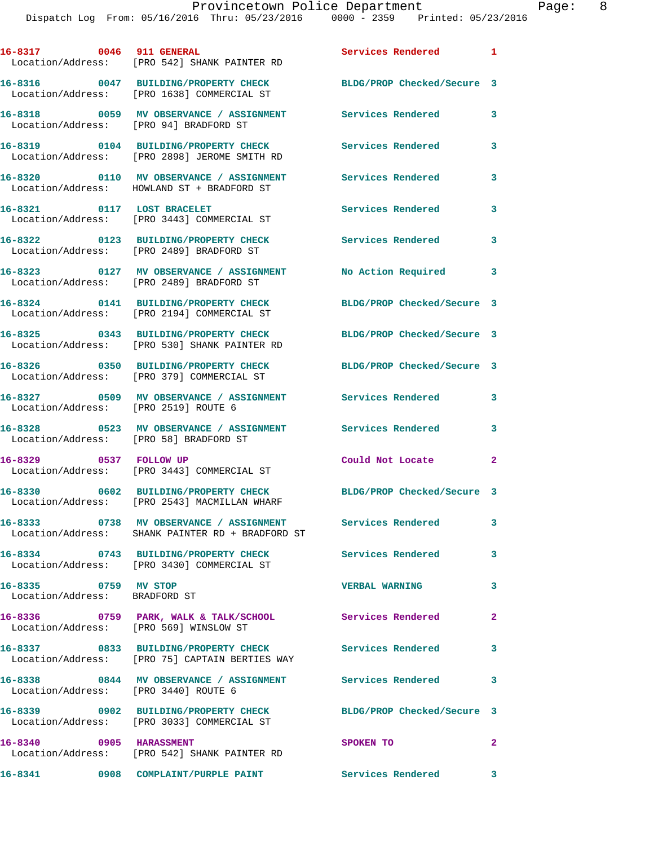|                                                       | 16-8317 0046 911 GENERAL<br>Location/Address: [PRO 542] SHANK PAINTER RD               | Services Rendered 1        |                         |
|-------------------------------------------------------|----------------------------------------------------------------------------------------|----------------------------|-------------------------|
|                                                       | 16-8316 0047 BUILDING/PROPERTY CHECK<br>Location/Address: [PRO 1638] COMMERCIAL ST     | BLDG/PROP Checked/Secure 3 |                         |
| Location/Address: [PRO 94] BRADFORD ST                | 16-8318 0059 MV OBSERVANCE / ASSIGNMENT                                                | Services Rendered          | 3                       |
|                                                       | 16-8319 0104 BUILDING/PROPERTY CHECK<br>Location/Address: [PRO 2898] JEROME SMITH RD   | Services Rendered          | 3                       |
|                                                       | 16-8320 0110 MV OBSERVANCE / ASSIGNMENT<br>Location/Address: HOWLAND ST + BRADFORD ST  | Services Rendered          | 3                       |
| 16-8321 0117 LOST BRACELET                            | Location/Address: [PRO 3443] COMMERCIAL ST                                             | Services Rendered          | 3                       |
|                                                       | 16-8322 0123 BUILDING/PROPERTY CHECK<br>Location/Address: [PRO 2489] BRADFORD ST       | Services Rendered          | 3                       |
|                                                       | 16-8323 0127 MV OBSERVANCE / ASSIGNMENT<br>Location/Address: [PRO 2489] BRADFORD ST    | No Action Required         | $\overline{\mathbf{3}}$ |
|                                                       | 16-8324 0141 BUILDING/PROPERTY CHECK<br>Location/Address: [PRO 2194] COMMERCIAL ST     | BLDG/PROP Checked/Secure 3 |                         |
|                                                       | 16-8325 0343 BUILDING/PROPERTY CHECK<br>Location/Address: [PRO 530] SHANK PAINTER RD   | BLDG/PROP Checked/Secure 3 |                         |
|                                                       | 16-8326 0350 BUILDING/PROPERTY CHECK<br>Location/Address: [PRO 379] COMMERCIAL ST      | BLDG/PROP Checked/Secure 3 |                         |
| Location/Address: [PRO 2519] ROUTE 6                  | 16-8327 0509 MV OBSERVANCE / ASSIGNMENT                                                | <b>Services Rendered</b>   | 3                       |
| Location/Address: [PRO 58] BRADFORD ST                | 16-8328 		 0523 MV OBSERVANCE / ASSIGNMENT Services Rendered                           |                            | 3                       |
| 16-8329 0537 FOLLOW UP                                | Location/Address: [PRO 3443] COMMERCIAL ST                                             | Could Not Locate           | 2                       |
|                                                       | 16-8330 0602 BUILDING/PROPERTY CHECK<br>Location/Address: [PRO 2543] MACMILLAN WHARF   | BLDG/PROP Checked/Secure 3 |                         |
|                                                       | Location/Address: SHANK PAINTER RD + BRADFORD ST                                       | <b>Services Rendered</b>   | 3                       |
| 16-8334                                               | 0743 BUILDING/PROPERTY CHECK<br>Location/Address: [PRO 3430] COMMERCIAL ST             | <b>Services Rendered</b>   | 3                       |
| 16-8335 0759 MV STOP<br>Location/Address: BRADFORD ST |                                                                                        | <b>VERBAL WARNING</b>      | 3                       |
| Location/Address: [PRO 569] WINSLOW ST                | 16-8336 0759 PARK, WALK & TALK/SCHOOL                                                  | <b>Services Rendered</b>   | $\mathbf{2}$            |
|                                                       | 16-8337 0833 BUILDING/PROPERTY CHECK<br>Location/Address: [PRO 75] CAPTAIN BERTIES WAY | <b>Services Rendered</b>   | $\mathbf{3}$            |
| Location/Address: [PRO 3440] ROUTE 6                  | 16-8338 0844 MV OBSERVANCE / ASSIGNMENT Services Rendered 3                            |                            |                         |
|                                                       | 16-8339 0902 BUILDING/PROPERTY CHECK<br>Location/Address: [PRO 3033] COMMERCIAL ST     | BLDG/PROP Checked/Secure 3 |                         |
| 16-8340 0905 HARASSMENT                               | Location/Address: [PRO 542] SHANK PAINTER RD                                           | SPOKEN TO                  | $\mathbf{2}$            |
|                                                       |                                                                                        | Services Rendered 3        |                         |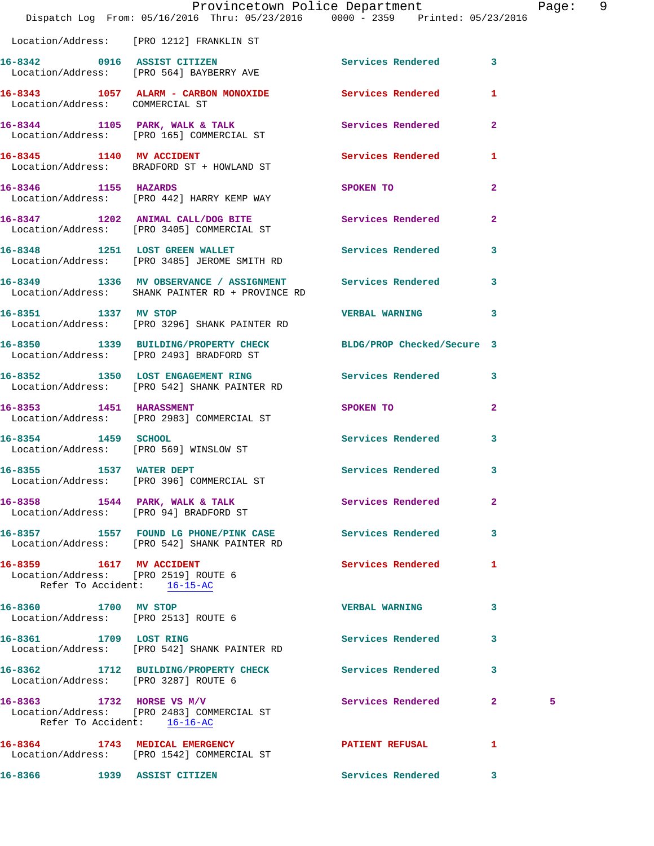|                                                              | Provincetown Police Department Page: 9<br>Dispatch Log From: 05/16/2016 Thru: 05/23/2016 0000 - 2359 Printed: 05/23/2016 |                                   |              |   |  |
|--------------------------------------------------------------|--------------------------------------------------------------------------------------------------------------------------|-----------------------------------|--------------|---|--|
|                                                              | Location/Address: [PRO 1212] FRANKLIN ST                                                                                 |                                   |              |   |  |
|                                                              | 16-8342 0916 ASSIST CITIZEN<br>Location/Address: [PRO 564] BAYBERRY AVE                                                  | Services Rendered 3               |              |   |  |
| Location/Address: COMMERCIAL ST                              | 16-8343 1057 ALARM - CARBON MONOXIDE Services Rendered 1                                                                 |                                   |              |   |  |
|                                                              | 16-8344 1105 PARK, WALK & TALK<br>Location/Address: [PRO 165] COMMERCIAL ST                                              | Services Rendered 2               |              |   |  |
|                                                              | 16-8345 1140 MV ACCIDENT Services Rendered 1<br>Location/Address: BRADFORD ST + HOWLAND ST                               |                                   |              |   |  |
| 16-8346 1155 HAZARDS                                         | Location/Address: [PRO 442] HARRY KEMP WAY                                                                               | SPOKEN TO                         | $\mathbf{2}$ |   |  |
|                                                              | 16-8347 1202 ANIMAL CALL/DOG BITE Services Rendered 2<br>Location/Address: [PRO 3405] COMMERCIAL ST                      |                                   |              |   |  |
|                                                              | 16-8348 1251 LOST GREEN WALLET Services Rendered 3<br>Location/Address: [PRO 3485] JEROME SMITH RD                       |                                   |              |   |  |
|                                                              | 16-8349 1336 MV OBSERVANCE / ASSIGNMENT Services Rendered 3<br>Location/Address: SHANK PAINTER RD + PROVINCE RD          |                                   |              |   |  |
| 16-8351 1337 MV STOP                                         | Location/Address: [PRO 3296] SHANK PAINTER RD                                                                            | <b>VERBAL WARNING 3</b>           |              |   |  |
|                                                              | 16-8350 1339 BUILDING/PROPERTY CHECK BLDG/PROP Checked/Secure 3<br>Location/Address: [PRO 2493] BRADFORD ST              |                                   |              |   |  |
|                                                              | 16-8352 1350 LOST ENGAGEMENT RING Services Rendered 3<br>Location/Address: [PRO 542] SHANK PAINTER RD                    |                                   |              |   |  |
|                                                              | 16-8353 1451 HARASSMENT<br>Location/Address: [PRO 2983] COMMERCIAL ST                                                    | SPOKEN TO AND TO A REAL PROPERTY. | $\mathbf{2}$ |   |  |
| 16-8354 1459 SCHOOL                                          | Location/Address: [PRO 569] WINSLOW ST                                                                                   | Services Rendered                 | 3            |   |  |
|                                                              | 16-8355 1537 WATER DEPT<br>Location/Address: [PRO 396] COMMERCIAL ST                                                     | Services Rendered 3               |              |   |  |
|                                                              | 16-8358 1544 PARK, WALK & TALK<br>Location/Address: [PRO 94] BRADFORD ST                                                 | Services Rendered                 | $\mathbf{2}$ |   |  |
|                                                              | 16-8357 1557 FOUND LG PHONE/PINK CASE Services Rendered<br>Location/Address: [PRO 542] SHANK PAINTER RD                  |                                   | 3            |   |  |
| 16-8359 1617 MV ACCIDENT<br>Refer To Accident: 16-15-AC      | Location/Address: [PRO 2519] ROUTE 6                                                                                     | Services Rendered 1               |              |   |  |
| 16-8360 1700 MV STOP<br>Location/Address: [PRO 2513] ROUTE 6 |                                                                                                                          | <b>VERBAL WARNING</b>             | 3            |   |  |
| 16-8361 1709 LOST RING                                       | Location/Address: [PRO 542] SHANK PAINTER RD                                                                             | Services Rendered 3               |              |   |  |
|                                                              | 16-8362 1712 BUILDING/PROPERTY CHECK Services Rendered<br>Location/Address: [PRO 3287] ROUTE 6                           |                                   | 3            |   |  |
|                                                              | 16-8363 1732 HORSE VS M/V<br>Location/Address: [PRO 2483] COMMERCIAL ST<br>Refer To Accident: 16-16-AC                   | Services Rendered 2               |              | 5 |  |
|                                                              | 16-8364 1743 MEDICAL EMERGENCY<br>Location/Address: [PRO 1542] COMMERCIAL ST                                             | PATIENT REFUSAL 1                 |              |   |  |
|                                                              | 16-8366 1939 ASSIST CITIZEN                                                                                              | Services Rendered                 | 3            |   |  |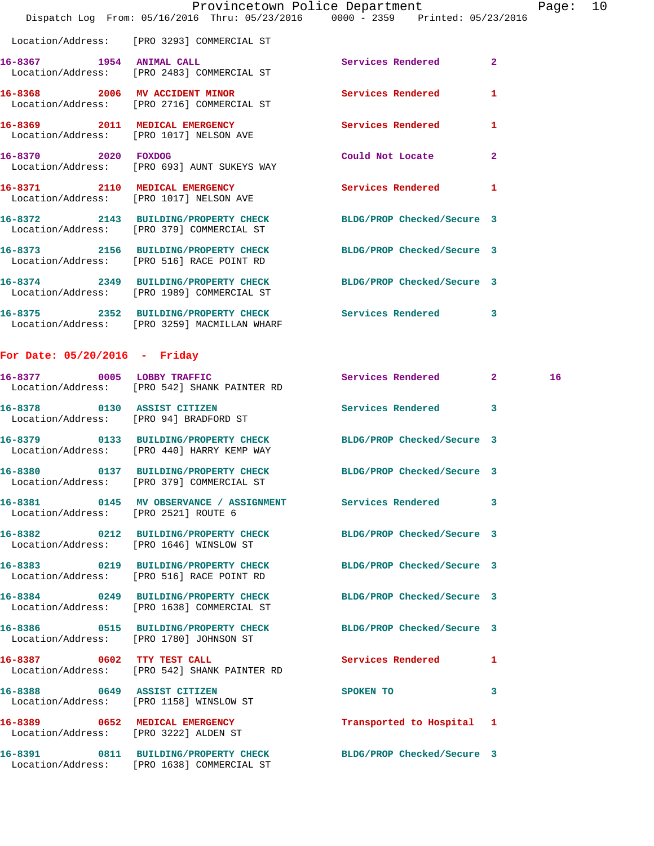|                     | Provincetown Police Department                                                                                |                          |                |
|---------------------|---------------------------------------------------------------------------------------------------------------|--------------------------|----------------|
|                     | Dispatch Log From: 05/16/2016 Thru: 05/23/2016 0000 - 2359 Printed: 05/23/2016                                |                          |                |
|                     | Location/Address: [PRO 3293] COMMERCIAL ST                                                                    |                          |                |
|                     | 16-8367 1954 ANIMAL CALL<br>Location/Address: [PRO 2483] COMMERCIAL ST                                        | Services Rendered        | $\overline{a}$ |
|                     | 16-8368 2006 MV ACCIDENT MINOR<br>Location/Address: [PRO 2716] COMMERCIAL ST                                  | <b>Services Rendered</b> | 1              |
|                     | 16-8369 2011 MEDICAL EMERGENCY<br>Location/Address: [PRO 1017] NELSON AVE                                     | Services Rendered        | 1              |
| 16-8370 2020 FOXDOG | Location/Address: [PRO 693] AUNT SUKEYS WAY                                                                   | Could Not Locate         | $\mathbf{2}$   |
|                     | 16-8371 2110 MEDICAL EMERGENCY<br>Location/Address: [PRO 1017] NELSON AVE                                     | <b>Services Rendered</b> | 1              |
|                     | 16-8372 2143 BUILDING/PROPERTY CHECK BLDG/PROP Checked/Secure 3<br>Location/Address: [PRO 379] COMMERCIAL ST  |                          |                |
|                     | 16-8373 2156 BUILDING/PROPERTY CHECK BLDG/PROP Checked/Secure 3<br>Location/Address: [PRO 516] RACE POINT RD  |                          |                |
|                     | 16-8374 2349 BUILDING/PROPERTY CHECK BLDG/PROP Checked/Secure 3<br>Location/Address: [PRO 1989] COMMERCIAL ST |                          |                |
|                     | 16-8375 2352 BUILDING/PROPERTY CHECK Services Rendered<br>Location/Address: [PRO 3259] MACMILLAN WHARF        |                          | 3              |

Page: 10

## **For Date: 05/20/2016 - Friday**

|                                       | 16-8377 0005 LOBBY TRAFFIC<br>Location/Address: [PRO 542] SHANK PAINTER RD                                    | Services Rendered 2       |                         | 16 <sup>1</sup> |
|---------------------------------------|---------------------------------------------------------------------------------------------------------------|---------------------------|-------------------------|-----------------|
|                                       | 16-8378 0130 ASSIST CITIZEN<br>Location/Address: [PRO 94] BRADFORD ST                                         | Services Rendered 3       |                         |                 |
|                                       | 16-8379 0133 BUILDING/PROPERTY CHECK BLDG/PROP Checked/Secure 3<br>Location/Address: [PRO 440] HARRY KEMP WAY |                           |                         |                 |
|                                       | 16-8380 0137 BUILDING/PROPERTY CHECK BLDG/PROP Checked/Secure 3<br>Location/Address: [PRO 379] COMMERCIAL ST  |                           |                         |                 |
| Location/Address: [PRO 2521] ROUTE 6  | 16-8381 0145 MV OBSERVANCE / ASSIGNMENT Services Rendered 3                                                   |                           |                         |                 |
|                                       | 16-8382 0212 BUILDING/PROPERTY CHECK BLDG/PROP Checked/Secure 3<br>Location/Address: [PRO 1646] WINSLOW ST    |                           |                         |                 |
|                                       | 16-8383 0219 BUILDING/PROPERTY CHECK BLDG/PROP Checked/Secure 3<br>Location/Address: [PRO 516] RACE POINT RD  |                           |                         |                 |
|                                       | 16-8384 0249 BUILDING/PROPERTY CHECK BLDG/PROP Checked/Secure 3<br>Location/Address: [PRO 1638] COMMERCIAL ST |                           |                         |                 |
|                                       | 16-8386  0515 BUILDING/PROPERTY CHECK BLDG/PROP Checked/Secure 3<br>Location/Address: [PRO 1780] JOHNSON ST   |                           |                         |                 |
|                                       | 16-8387 0602 TTY TEST CALL<br>Location/Address: [PRO 542] SHANK PAINTER RD                                    | Services Rendered         | $\mathbf{1}$            |                 |
|                                       | 16-8388 0649 ASSIST CITIZEN<br>Location/Address: [PRO 1158] WINSLOW ST                                        | SPOKEN TO                 | $\overline{\mathbf{3}}$ |                 |
| Location/Address: [PRO 3222] ALDEN ST | 16-8389 0652 MEDICAL EMERGENCY                                                                                | Transported to Hospital 1 |                         |                 |
|                                       | 16-8391 0811 BUILDING/PROPERTY CHECK BLDG/PROP Checked/Secure 3<br>Location/Address: [PRO 1638] COMMERCIAL ST |                           |                         |                 |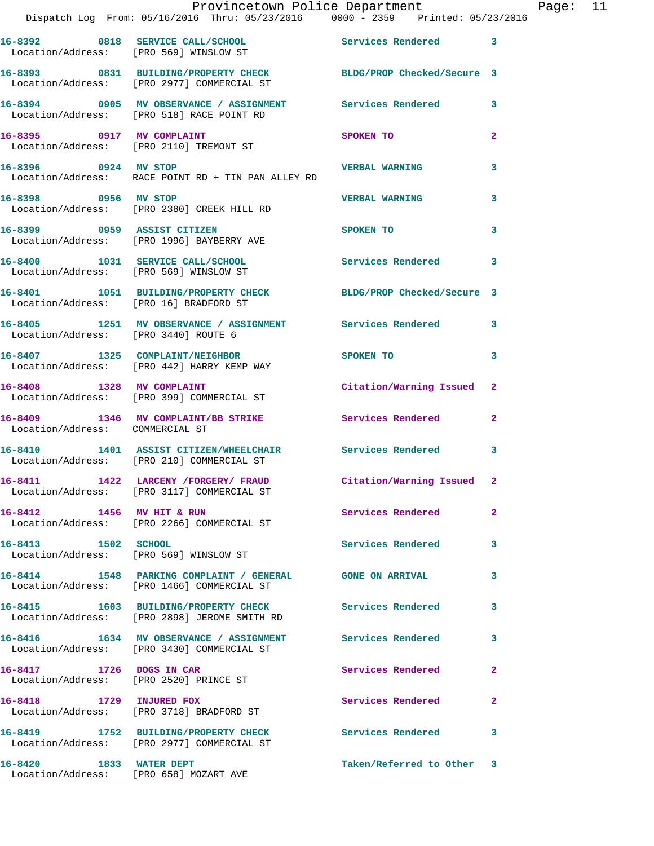|                                        | Provincetown Police Department<br>Dispatch Log From: 05/16/2016 Thru: 05/23/2016 0000 - 2359 Printed: 05/23/2016 |                            |                |
|----------------------------------------|------------------------------------------------------------------------------------------------------------------|----------------------------|----------------|
|                                        | 16-8392 0818 SERVICE CALL/SCHOOL 5ervices Rendered<br>Location/Address: [PRO 569] WINSLOW ST                     |                            | 3              |
|                                        | 16-8393 0831 BUILDING/PROPERTY CHECK BLDG/PROP Checked/Secure 3<br>Location/Address: [PRO 2977] COMMERCIAL ST    |                            |                |
|                                        | 16-8394 0905 MV OBSERVANCE / ASSIGNMENT Services Rendered<br>Location/Address: [PRO 518] RACE POINT RD           |                            | 3              |
|                                        | 16-8395 0917 MV COMPLAINT<br>Location/Address: [PRO 2110] TREMONT ST                                             | SPOKEN TO                  | 2              |
|                                        | Location/Address: RACE POINT RD + TIN PAN ALLEY RD                                                               |                            | 3              |
| 16-8398 0956 MV STOP                   | Location/Address: [PRO 2380] CREEK HILL RD                                                                       | <b>VERBAL WARNING</b>      | 3              |
|                                        | 16-8399 0959 ASSIST CITIZEN<br>Location/Address: [PRO 1996] BAYBERRY AVE                                         | SPOKEN TO                  | 3              |
|                                        | 16-8400 1031 SERVICE CALL/SCHOOL<br>Location/Address: [PRO 569] WINSLOW ST                                       | Services Rendered          | 3              |
| Location/Address: [PRO 16] BRADFORD ST | 16-8401 1051 BUILDING/PROPERTY CHECK                                                                             | BLDG/PROP Checked/Secure 3 |                |
| Location/Address: [PRO 3440] ROUTE 6   | 16-8405 1251 MV OBSERVANCE / ASSIGNMENT Services Rendered                                                        |                            | 3              |
|                                        | 16-8407 1325 COMPLAINT/NEIGHBOR<br>Location/Address: [PRO 442] HARRY KEMP WAY                                    | <b>SPOKEN TO</b>           | 3              |
|                                        | 16-8408 1328 MV COMPLAINT<br>Location/Address: [PRO 399] COMMERCIAL ST                                           | Citation/Warning Issued    | $\mathbf{2}$   |
| Location/Address: COMMERCIAL ST        | 16-8409 1346 MV COMPLAINT/BB STRIKE Services Rendered                                                            |                            | $\overline{a}$ |
|                                        | 16-8410 1401 ASSIST CITIZEN/WHEELCHAIR Services Rendered<br>Location/Address: [PRO 210] COMMERCIAL ST            |                            | 3              |
|                                        | 16-8411 1422 LARCENY / FORGERY / FRAUD<br>Location/Address: [PRO 3117] COMMERCIAL ST                             | Citation/Warning Issued    |                |
| 16-8412 1456 MV HIT & RUN              | Location/Address: [PRO 2266] COMMERCIAL ST                                                                       | <b>Services Rendered</b>   | $\mathbf{2}$   |
| 16-8413 1502 SCHOOL                    | Location/Address: [PRO 569] WINSLOW ST                                                                           | Services Rendered          | 3              |
|                                        | 16-8414 1548 PARKING COMPLAINT / GENERAL GONE ON ARRIVAL<br>Location/Address: [PRO 1466] COMMERCIAL ST           |                            | 3              |
|                                        | 16-8415 1603 BUILDING/PROPERTY CHECK<br>Location/Address: [PRO 2898] JEROME SMITH RD                             | Services Rendered          | 3              |
|                                        | 16-8416 1634 MV OBSERVANCE / ASSIGNMENT<br>Location/Address: [PRO 3430] COMMERCIAL ST                            | <b>Services Rendered</b>   | 3              |
| 16-8417 1726 DOGS IN CAR               | Location/Address: [PRO 2520] PRINCE ST                                                                           | Services Rendered          | 2              |
| 16-8418 1729 INJURED FOX               | Location/Address: [PRO 3718] BRADFORD ST                                                                         | Services Rendered          | 2              |
|                                        | 16-8419 1752 BUILDING/PROPERTY CHECK Services Rendered<br>Location/Address: [PRO 2977] COMMERCIAL ST             |                            | 3              |
| 16-8420 1833 WATER DEPT                |                                                                                                                  | Taken/Referred to Other    | 3              |

Location/Address: [PRO 658] MOZART AVE

Page:  $11$ <br>6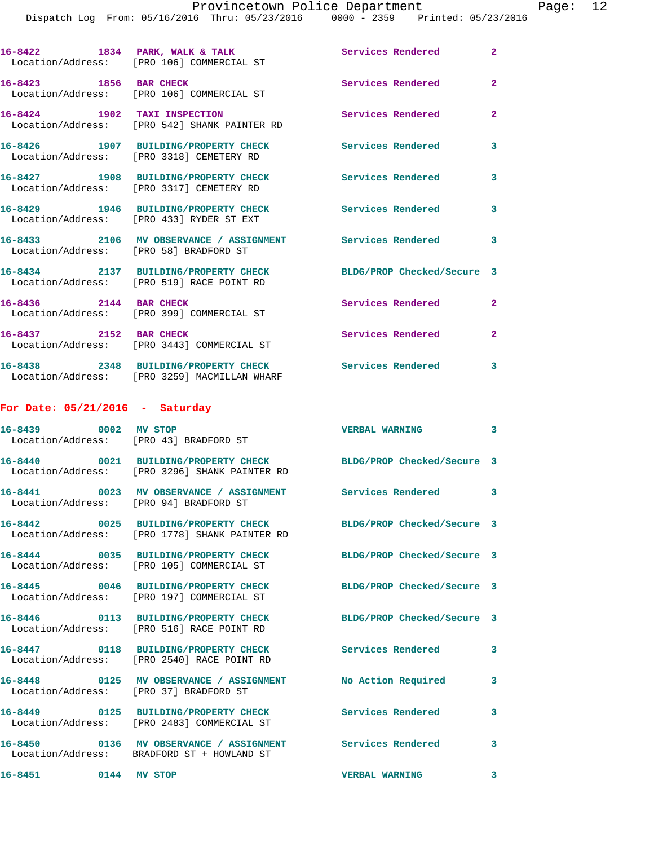|                                        | Dispatch Log From: 05/16/2016 Thru: 05/23/2016 0000 - 2359 Printed: 05/23/2016                                   | Provincetown Police Department Page: 12 |                |  |
|----------------------------------------|------------------------------------------------------------------------------------------------------------------|-----------------------------------------|----------------|--|
|                                        |                                                                                                                  |                                         |                |  |
|                                        | 16-8422 1834 PARK, WALK & TALK (2008) Services Rendered Location/Address: [PRO 106] COMMERCIAL ST                |                                         | $\mathbf{2}$   |  |
|                                        | 16-8423 1856 BAR CHECK Services Rendered<br>Location/Address: [PRO 106] COMMERCIAL ST                            |                                         | $\overline{2}$ |  |
|                                        | 16-8424 1902 TAXI INSPECTION<br>Location/Address: [PRO 542] SHANK PAINTER RD                                     | Services Rendered                       | $\overline{2}$ |  |
|                                        | 16-8426 1907 BUILDING/PROPERTY CHECK Services Rendered<br>Location/Address: [PRO 3318] CEMETERY RD               |                                         | 3              |  |
|                                        | 16-8427 1908 BUILDING/PROPERTY CHECK Services Rendered 3<br>Location/Address: [PRO 3317] CEMETERY RD             |                                         |                |  |
|                                        | 16-8429 1946 BUILDING/PROPERTY CHECK Services Rendered<br>Location/Address: [PRO 433] RYDER ST EXT               |                                         | 3              |  |
| Location/Address: [PRO 58] BRADFORD ST | 16-8433 2106 MV OBSERVANCE / ASSIGNMENT Services Rendered 3                                                      |                                         |                |  |
|                                        | 16-8434 2137 BUILDING/PROPERTY CHECK BLDG/PROP Checked/Secure 3<br>Location/Address: [PRO 519] RACE POINT RD     |                                         |                |  |
| 16-8436 2144 BAR CHECK                 | Location/Address: [PRO 399] COMMERCIAL ST                                                                        | Services Rendered 2                     |                |  |
|                                        | 16-8437 2152 BAR CHECK<br>Location/Address: [PRO 3443] COMMERCIAL ST                                             | Services Rendered                       | $\mathbf{2}$   |  |
|                                        | 16-8438 2348 BUILDING/PROPERTY CHECK Services Rendered<br>Location/Address: [PRO 3259] MACMILLAN WHARF           |                                         | 3              |  |
| For Date: $05/21/2016$ - Saturday      |                                                                                                                  |                                         |                |  |
|                                        | 16-8439 0002 MV STOP<br>Location/Address: [PRO 43] BRADFORD ST                                                   | <b>VERBAL WARNING</b>                   | 3              |  |
|                                        | 16-8440 0021 BUILDING/PROPERTY CHECK BLDG/PROP Checked/Secure 3<br>Location/Address: [PRO 3296] SHANK PAINTER RD |                                         |                |  |
|                                        | 16-8441 0023 MV OBSERVANCE / ASSIGNMENT Services Rendered 3<br>Location/Address: [PRO 94] BRADFORD ST            |                                         |                |  |
|                                        | 16-8442 0025 BUILDING/PROPERTY CHECK BLDG/PROP Checked/Secure 3<br>Location/Address: [PRO 1778] SHANK PAINTER RD |                                         |                |  |
|                                        | 16-8444 0035 BUILDING/PROPERTY CHECK BLDG/PROP Checked/Secure 3<br>Location/Address: [PRO 105] COMMERCIAL ST     |                                         |                |  |
|                                        | 16-8445 0046 BUILDING/PROPERTY CHECK BLDG/PROP Checked/Secure 3<br>Location/Address: [PRO 197] COMMERCIAL ST     |                                         |                |  |
|                                        | 16-8446 0113 BUILDING/PROPERTY CHECK BLDG/PROP Checked/Secure 3<br>Location/Address: [PRO 516] RACE POINT RD     |                                         |                |  |
|                                        | 16-8447   0118   BUILDING/PROPERTY CHECK   Services Rendered<br>Location/Address: [PRO 2540] RACE POINT RD       |                                         | 3              |  |
|                                        | 16-8448 0125 MV OBSERVANCE / ASSIGNMENT No Action Required 3<br>Location/Address: [PRO 37] BRADFORD ST           |                                         |                |  |
|                                        | 16-8449   0125   BUILDING/PROPERTY CHECK   Services Rendered<br>Location/Address: [PRO 2483] COMMERCIAL ST       |                                         | $\mathbf{3}$   |  |
|                                        | 16-8450   0136 MV OBSERVANCE / ASSIGNMENT   Services Rendered<br>Location/Address: BRADFORD ST + HOWLAND ST      |                                         | 3              |  |
| 16-8451 0144 MV STOP                   |                                                                                                                  | <b>VERBAL WARNING</b>                   | 3              |  |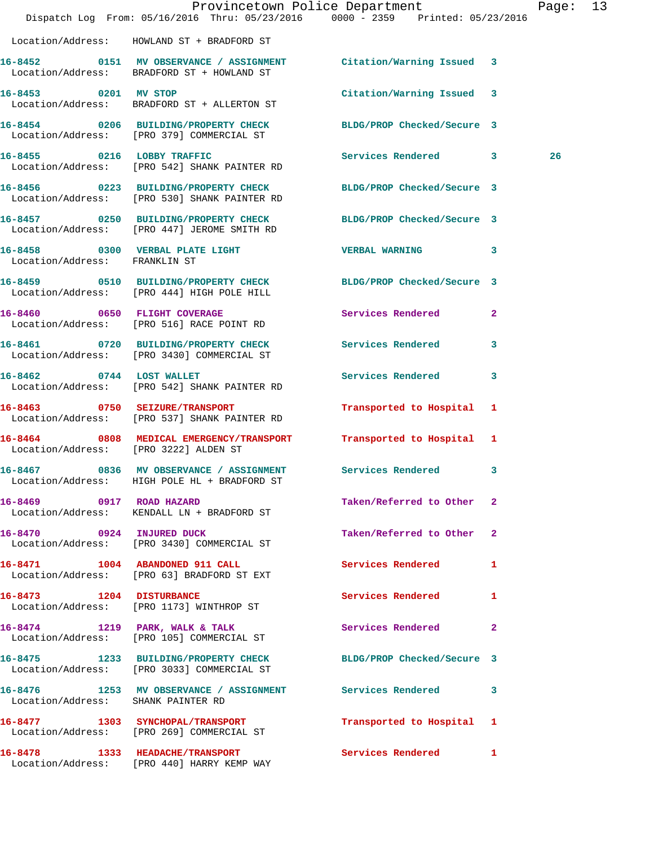|                                       | Dispatch Log From: 05/16/2016 Thru: 05/23/2016 0000 - 2359 Printed: 05/23/2016                                  | Provincetown Police Department |              | Page: 13 |  |
|---------------------------------------|-----------------------------------------------------------------------------------------------------------------|--------------------------------|--------------|----------|--|
|                                       | Location/Address: HOWLAND ST + BRADFORD ST                                                                      |                                |              |          |  |
|                                       | 16-8452 0151 MV OBSERVANCE / ASSIGNMENT Citation/Warning Issued 3<br>Location/Address: BRADFORD ST + HOWLAND ST |                                |              |          |  |
|                                       | 16-8453 0201 MV STOP<br>Location/Address: BRADFORD ST + ALLERTON ST                                             | Citation/Warning Issued 3      |              |          |  |
|                                       | 16-8454 0206 BUILDING/PROPERTY CHECK BLDG/PROP Checked/Secure 3<br>Location/Address: [PRO 379] COMMERCIAL ST    |                                |              |          |  |
|                                       | 16-8455 0216 LOBBY TRAFFIC<br>  Location/Address: [PRO 542] SHANK PAINTER RD                                    | Services Rendered 3            |              | 26       |  |
|                                       | 16-8456 0223 BUILDING/PROPERTY CHECK<br>Location/Address: [PRO 530] SHANK PAINTER RD                            | BLDG/PROP Checked/Secure 3     |              |          |  |
|                                       | 16-8457 0250 BUILDING/PROPERTY CHECK<br>Location/Address: [PRO 447] JEROME SMITH RD                             | BLDG/PROP Checked/Secure 3     |              |          |  |
| Location/Address: FRANKLIN ST         | 16-8458 0300 VERBAL PLATE LIGHT                                                                                 | <b>VERBAL WARNING</b>          | $\mathbf{3}$ |          |  |
|                                       | 16-8459 0510 BUILDING/PROPERTY CHECK BLDG/PROP Checked/Secure 3<br>Location/Address: [PRO 444] HIGH POLE HILL   |                                |              |          |  |
|                                       | 16-8460 0650 FLIGHT COVERAGE<br>Location/Address: [PRO 516] RACE POINT RD                                       | Services Rendered              | $\mathbf{2}$ |          |  |
|                                       | 16-8461 0720 BUILDING/PROPERTY CHECK Services Rendered 3<br>Location/Address: [PRO 3430] COMMERCIAL ST          |                                |              |          |  |
|                                       | 16-8462 0744 LOST WALLET<br>Location/Address: [PRO 542] SHANK PAINTER RD                                        | Services Rendered              | 3            |          |  |
|                                       | 16-8463 0750 SEIZURE/TRANSPORT<br>Location/Address: [PRO 537] SHANK PAINTER RD                                  | Transported to Hospital 1      |              |          |  |
| Location/Address: [PRO 3222] ALDEN ST | 16-8464 0808 MEDICAL EMERGENCY/TRANSPORT                                                                        | Transported to Hospital 1      |              |          |  |
|                                       | 16-8467 0836 MV OBSERVANCE / ASSIGNMENT Services Rendered 3<br>Location/Address: HIGH POLE HL + BRADFORD ST     |                                |              |          |  |
| 16-8469 0917 ROAD HAZARD              | Location/Address: KENDALL LN + BRADFORD ST                                                                      | Taken/Referred to Other 2      |              |          |  |
|                                       | 16-8470 0924 INJURED DUCK<br>Location/Address: [PRO 3430] COMMERCIAL ST                                         | Taken/Referred to Other 2      |              |          |  |
|                                       | 16-8471 1004 ABANDONED 911 CALL<br>Location/Address: [PRO 63] BRADFORD ST EXT                                   | Services Rendered              | 1            |          |  |
|                                       | 16-8473 1204 DISTURBANCE<br>Location/Address: [PRO 1173] WINTHROP ST                                            | Services Rendered 1            |              |          |  |
|                                       | 16-8474 1219 PARK, WALK & TALK<br>Location/Address: [PRO 105] COMMERCIAL ST                                     | Services Rendered              | $\mathbf{2}$ |          |  |
|                                       | 16-8475 1233 BUILDING/PROPERTY CHECK<br>Location/Address: [PRO 3033] COMMERCIAL ST                              | BLDG/PROP Checked/Secure 3     |              |          |  |
| Location/Address: SHANK PAINTER RD    | 16-8476 1253 MV OBSERVANCE / ASSIGNMENT                                                                         | Services Rendered              | 3            |          |  |
|                                       | 16-8477 1303 SYNCHOPAL/TRANSPORT<br>Location/Address: [PRO 269] COMMERCIAL ST                                   | Transported to Hospital 1      |              |          |  |
|                                       | 16-8478 1333 HEADACHE/TRANSPORT<br>Location/Address: [PRO 440] HARRY KEMP WAY                                   | Services Rendered 1            |              |          |  |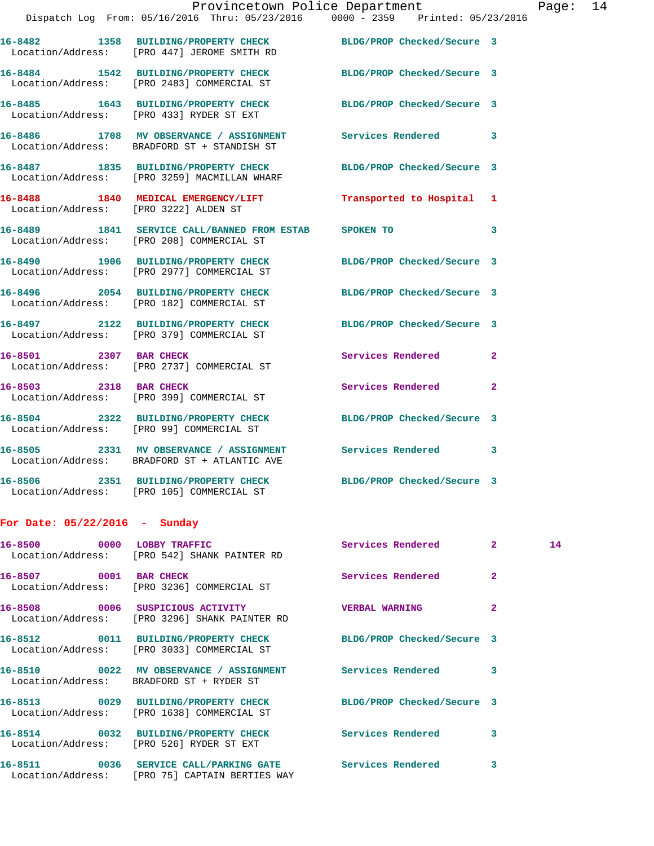|                               | Dispatch Log From: 05/16/2016 Thru: 05/23/2016 0000 - 2359 Printed: 05/23/2016                                    | Provincetown Police Department Page: 14 |                |    |  |
|-------------------------------|-------------------------------------------------------------------------------------------------------------------|-----------------------------------------|----------------|----|--|
|                               | 16-8482 1358 BUILDING/PROPERTY CHECK BLDG/PROP Checked/Secure 3<br>Location/Address: [PRO 447] JEROME SMITH RD    |                                         |                |    |  |
|                               | 16-8484 1542 BUILDING/PROPERTY CHECK BLDG/PROP Checked/Secure 3<br>Location/Address: [PRO 2483] COMMERCIAL ST     |                                         |                |    |  |
|                               | 16-8485   1643   BUILDING/PROPERTY CHECK   BLDG/PROP Checked/Secure 3<br>Location/Address: [PRO 433] RYDER ST EXT |                                         |                |    |  |
|                               | 16-8486 1708 MV OBSERVANCE / ASSIGNMENT Services Rendered 3<br>Location/Address: BRADFORD ST + STANDISH ST        |                                         |                |    |  |
|                               | 16-8487 1835 BUILDING/PROPERTY CHECK BLDG/PROP Checked/Secure 3<br>Location/Address: [PRO 3259] MACMILLAN WHARF   |                                         |                |    |  |
|                               | 16-8488 1840 MEDICAL EMERGENCY/LIFT 7ransported to Hospital 1<br>Location/Address: [PRO 3222] ALDEN ST            |                                         |                |    |  |
|                               | 16-8489 1841 SERVICE CALL/BANNED FROM ESTAB SPOKEN TO 3<br>Location/Address: [PRO 208] COMMERCIAL ST              |                                         |                |    |  |
|                               | 16-8490 1906 BUILDING/PROPERTY CHECK BLDG/PROP Checked/Secure 3<br>Location/Address: [PRO 2977] COMMERCIAL ST     |                                         |                |    |  |
|                               | 16-8496 2054 BUILDING/PROPERTY CHECK BLDG/PROP Checked/Secure 3<br>Location/Address: [PRO 182] COMMERCIAL ST      |                                         |                |    |  |
|                               | 16-8497 2122 BUILDING/PROPERTY CHECK BLDG/PROP Checked/Secure 3<br>Location/Address: [PRO 379] COMMERCIAL ST      |                                         |                |    |  |
| 16-8501 2307 BAR CHECK        | Location/Address: [PRO 2737] COMMERCIAL ST                                                                        | Services Rendered 2                     |                |    |  |
|                               | 16-8503 2318 BAR CHECK<br>Location/Address: [PRO 399] COMMERCIAL ST                                               | Services Rendered 2                     |                |    |  |
|                               | 16-8504 2322 BUILDING/PROPERTY CHECK BLDG/PROP Checked/Secure 3<br>Location/Address: [PRO 99] COMMERCIAL ST       |                                         |                |    |  |
|                               | 16-8505 2331 MV OBSERVANCE / ASSIGNMENT Services Rendered 3<br>Location/Address: BRADFORD ST + ATLANTIC AVE       |                                         |                |    |  |
|                               | 16-8506 2351 BUILDING/PROPERTY CHECK<br>Location/Address: [PRO 105] COMMERCIAL ST                                 | BLDG/PROP Checked/Secure 3              |                |    |  |
| For Date: 05/22/2016 - Sunday |                                                                                                                   |                                         |                |    |  |
| 16-8500 0000 LOBBY TRAFFIC    | Location/Address: [PRO 542] SHANK PAINTER RD                                                                      | Services Rendered                       | $\mathbf{2}^-$ | 14 |  |
| 16-8507 0001 BAR CHECK        | Location/Address: [PRO 3236] COMMERCIAL ST                                                                        | Services Rendered                       | $\mathbf{2}$   |    |  |
| 16-8508                       | 0006 SUSPICIOUS ACTIVITY<br>Location/Address: [PRO 3296] SHANK PAINTER RD                                         | <b>VERBAL WARNING</b>                   | $\mathbf{2}$   |    |  |

 Location/Address: [PRO 3033] COMMERCIAL ST Location/Address: BRADFORD ST + RYDER ST

Location/Address: [PRO 1638] COMMERCIAL ST

Location/Address: [PRO 526] RYDER ST EXT

**16-8511 0036 SERVICE CALL/PARKING GATE Services Rendered 3**  Location/Address: [PRO 75] CAPTAIN BERTIES WAY

**16-8512 0011 BUILDING/PROPERTY CHECK BLDG/PROP Checked/Secure 3 16-8510 0022 MV OBSERVANCE / ASSIGNMENT Services Rendered 3 16-8513 0029 BUILDING/PROPERTY CHECK BLDG/PROP Checked/Secure 3 16-8514 0032 BUILDING/PROPERTY CHECK Services Rendered 3**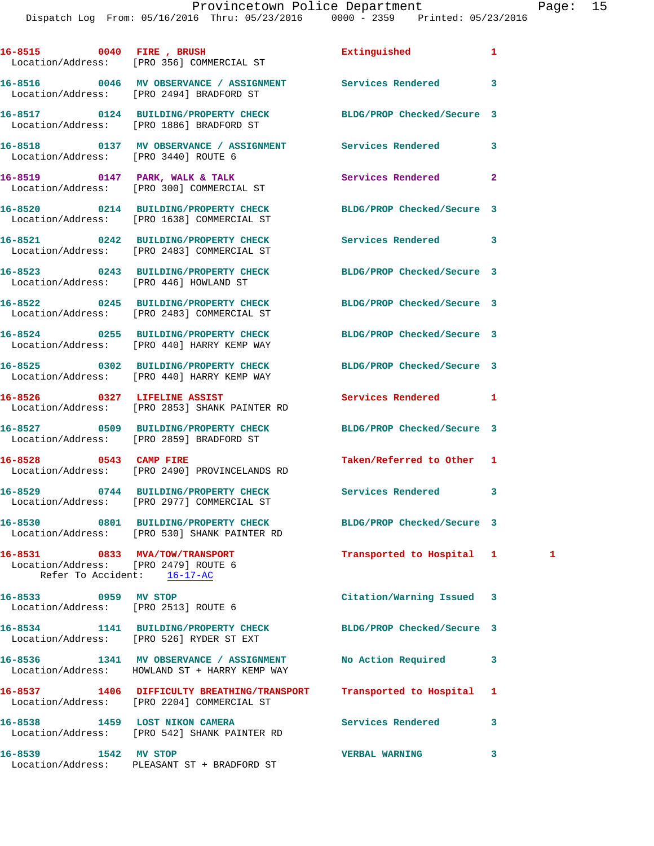|                      | 16-8515 0040 FIRE , BRUSH<br>Location/Address: [PRO 356] COMMERCIAL ST                                        | Extinguished               | 1              |              |
|----------------------|---------------------------------------------------------------------------------------------------------------|----------------------------|----------------|--------------|
|                      | 16-8516 0046 MV OBSERVANCE / ASSIGNMENT Services Rendered<br>Location/Address: [PRO 2494] BRADFORD ST         |                            | 3              |              |
|                      | 16-8517 0124 BUILDING/PROPERTY CHECK BLDG/PROP Checked/Secure 3<br>Location/Address: [PRO 1886] BRADFORD ST   |                            |                |              |
|                      | 16-8518 0137 MV OBSERVANCE / ASSIGNMENT Services Rendered<br>Location/Address: [PRO 3440] ROUTE 6             |                            | 3              |              |
|                      | 16-8519 0147 PARK, WALK & TALK<br>Location/Address: [PRO 300] COMMERCIAL ST                                   | Services Rendered          | $\overline{2}$ |              |
|                      | 16-8520 0214 BUILDING/PROPERTY CHECK BLDG/PROP Checked/Secure 3<br>Location/Address: [PRO 1638] COMMERCIAL ST |                            |                |              |
|                      | 16-8521 0242 BUILDING/PROPERTY CHECK<br>Location/Address: [PRO 2483] COMMERCIAL ST                            | Services Rendered 3        |                |              |
|                      | 16-8523 0243 BUILDING/PROPERTY CHECK BLDG/PROP Checked/Secure 3<br>Location/Address: [PRO 446] HOWLAND ST     |                            |                |              |
|                      | 16-8522 0245 BUILDING/PROPERTY CHECK BLDG/PROP Checked/Secure 3<br>Location/Address: [PRO 2483] COMMERCIAL ST |                            |                |              |
|                      | 16-8524 0255 BUILDING/PROPERTY CHECK<br>Location/Address: [PRO 440] HARRY KEMP WAY                            | BLDG/PROP Checked/Secure 3 |                |              |
|                      | 16-8525 0302 BUILDING/PROPERTY CHECK BLDG/PROP Checked/Secure 3<br>Location/Address: [PRO 440] HARRY KEMP WAY |                            |                |              |
|                      | 16-8526 0327 LIFELINE ASSIST<br>Location/Address: [PRO 2853] SHANK PAINTER RD                                 | Services Rendered          | 1              |              |
|                      | 16-8527 0509 BUILDING/PROPERTY CHECK BLDG/PROP Checked/Secure 3<br>Location/Address: [PRO 2859] BRADFORD ST   |                            |                |              |
|                      | 16-8528 0543 CAMP FIRE<br>Location/Address: [PRO 2490] PROVINCELANDS RD                                       | Taken/Referred to Other 1  |                |              |
|                      | 16-8529 0744 BUILDING/PROPERTY CHECK<br>Location/Address: [PRO 2977] COMMERCIAL ST                            | Services Rendered          | 3              |              |
|                      | 16-8530 0801 BUILDING/PROPERTY CHECK<br>Location/Address: [PRO 530] SHANK PAINTER RD                          | BLDG/PROP Checked/Secure 3 |                |              |
|                      | 16-8531 0833 MVA/TOW/TRANSPORT<br>Location/Address: [PRO 2479] ROUTE 6<br>Refer To Accident: 16-17-AC         | Transported to Hospital 1  |                | $\mathbf{1}$ |
| 16-8533 0959 MV STOP | Location/Address: [PRO 2513] ROUTE 6                                                                          | Citation/Warning Issued    | 3              |              |
|                      | 16-8534 1141 BUILDING/PROPERTY CHECK<br>Location/Address: [PRO 526] RYDER ST EXT                              | BLDG/PROP Checked/Secure 3 |                |              |
|                      | 16-8536 1341 MV OBSERVANCE / ASSIGNMENT<br>Location/Address: HOWLAND ST + HARRY KEMP WAY                      | No Action Required         | 3              |              |
|                      | 16-8537 1406 DIFFICULTY BREATHING/TRANSPORT<br>Location/Address: [PRO 2204] COMMERCIAL ST                     | Transported to Hospital    | 1              |              |
|                      | 16-8538 1459 LOST NIKON CAMERA<br>Location/Address: [PRO 542] SHANK PAINTER RD                                | Services Rendered          | 3              |              |
| 16-8539 1542 MV STOP | Location/Address: PLEASANT ST + BRADFORD ST                                                                   | <b>VERBAL WARNING</b>      | 3              |              |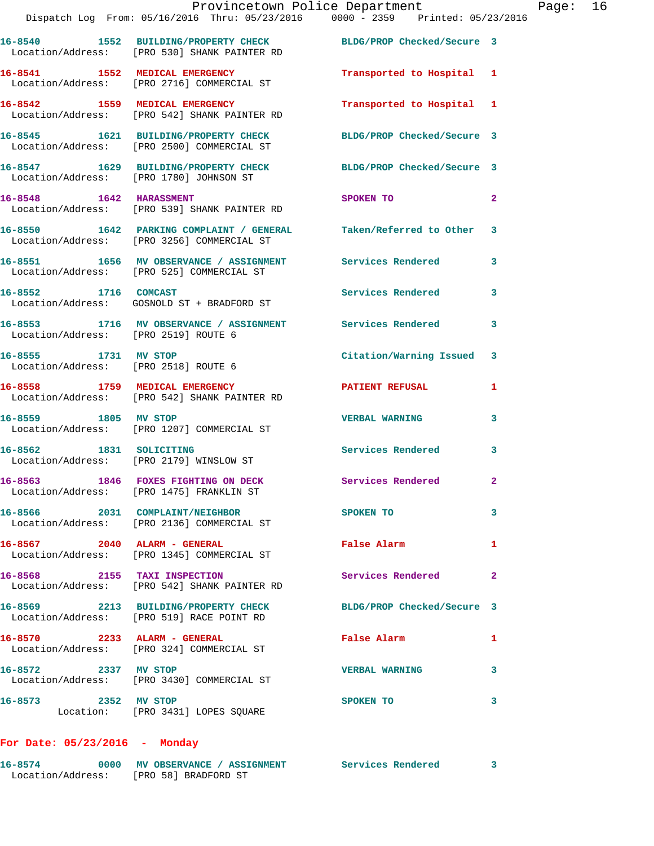|                                      | Provincetown Police Department<br>Dispatch Log From: 05/16/2016 Thru: 05/23/2016 0000 - 2359 Printed: 05/23/2016 |                                                                                                                            |              | Page: 16 |  |
|--------------------------------------|------------------------------------------------------------------------------------------------------------------|----------------------------------------------------------------------------------------------------------------------------|--------------|----------|--|
|                                      | 16-8540 1552 BUILDING/PROPERTY CHECK BLDG/PROP Checked/Secure 3<br>Location/Address: [PRO 530] SHANK PAINTER RD  |                                                                                                                            |              |          |  |
|                                      | 16-8541 1552 MEDICAL EMERGENCY<br>Location/Address: [PRO 2716] COMMERCIAL ST                                     | Transported to Hospital 1                                                                                                  |              |          |  |
|                                      | 16-8542 1559 MEDICAL EMERGENCY<br>Location/Address: [PRO 542] SHANK PAINTER RD                                   | Transported to Hospital 1                                                                                                  |              |          |  |
|                                      | 16-8545 1621 BUILDING/PROPERTY CHECK BLDG/PROP Checked/Secure 3<br>Location/Address: [PRO 2500] COMMERCIAL ST    |                                                                                                                            |              |          |  |
|                                      | 16-8547 1629 BUILDING/PROPERTY CHECK BLDG/PROP Checked/Secure 3<br>Location/Address: [PRO 1780] JOHNSON ST       |                                                                                                                            |              |          |  |
|                                      | 16-8548 1642 HARASSMENT<br>Location/Address: [PRO 539] SHANK PAINTER RD                                          | SPOKEN TO THE STATE OF THE STATE OF THE STATE OF THE STATE OF THE STATE OF THE STATE OF THE STATE OF THE STATE<br>$\sim$ 2 |              |          |  |
|                                      | 16-8550 1642 PARKING COMPLAINT / GENERAL Taken/Referred to Other 3<br>Location/Address: [PRO 3256] COMMERCIAL ST |                                                                                                                            |              |          |  |
|                                      | 16-8551 1656 MV OBSERVANCE / ASSIGNMENT Services Rendered 3<br>Location/Address: [PRO 525] COMMERCIAL ST         |                                                                                                                            |              |          |  |
|                                      | 16-8552 1716 COMCAST<br>Location/Address: GOSNOLD ST + BRADFORD ST                                               | Services Rendered 3                                                                                                        |              |          |  |
| Location/Address: [PRO 2519] ROUTE 6 | 16-8553 1716 MV OBSERVANCE / ASSIGNMENT Services Rendered                                                        |                                                                                                                            | $\mathbf{3}$ |          |  |
| 16-8555 1731 MV STOP                 | Location/Address: [PRO 2518] ROUTE 6                                                                             | Citation/Warning Issued 3                                                                                                  |              |          |  |
|                                      | 16-8558 1759 MEDICAL EMERGENCY<br>Location/Address: [PRO 542] SHANK PAINTER RD                                   | <b>PATIENT REFUSAL</b>                                                                                                     | 1            |          |  |
|                                      | 16-8559 1805 MV STOP<br>Location/Address: [PRO 1207] COMMERCIAL ST                                               | <b>VERBAL WARNING</b>                                                                                                      | 3            |          |  |
|                                      | 16-8562 1831 SOLICITING<br>Location/Address: [PRO 2179] WINSLOW ST                                               | Services Rendered                                                                                                          | 3            |          |  |
|                                      | 16-8563 1846 FOXES FIGHTING ON DECK<br>Location/Address: [PRO 1475] FRANKLIN ST                                  | Services Rendered                                                                                                          | $\mathbf{2}$ |          |  |
|                                      | 16-8566 2031 COMPLAINT/NEIGHBOR<br>Location/Address: [PRO 2136] COMMERCIAL ST                                    | SPOKEN TO                                                                                                                  | 3            |          |  |
|                                      | 16-8567 2040 ALARM - GENERAL<br>Location/Address: [PRO 1345] COMMERCIAL ST                                       | False Alarm                                                                                                                | 1            |          |  |
|                                      | 16-8568 2155 TAXI INSPECTION<br>Location/Address: [PRO 542] SHANK PAINTER RD                                     | Services Rendered                                                                                                          | $\mathbf{2}$ |          |  |
|                                      | 16-8569 2213 BUILDING/PROPERTY CHECK BLDG/PROP Checked/Secure 3<br>Location/Address: [PRO 519] RACE POINT RD     |                                                                                                                            |              |          |  |
|                                      | 16-8570 2233 ALARM - GENERAL<br>Location/Address: [PRO 324] COMMERCIAL ST                                        | False Alarm                                                                                                                | 1            |          |  |
| 16-8572 2337 MV STOP                 | Location/Address: [PRO 3430] COMMERCIAL ST                                                                       | <b>VERBAL WARNING</b>                                                                                                      | 3            |          |  |
| 16-8573 2352 MV STOP                 | Location: [PRO 3431] LOPES SQUARE                                                                                | SPOKEN TO                                                                                                                  | 3            |          |  |

**For Date: 05/23/2016 - Monday**

**16-8574 0000 MV OBSERVANCE / ASSIGNMENT Services Rendered 3**  Location/Address: [PRO 58] BRADFORD ST